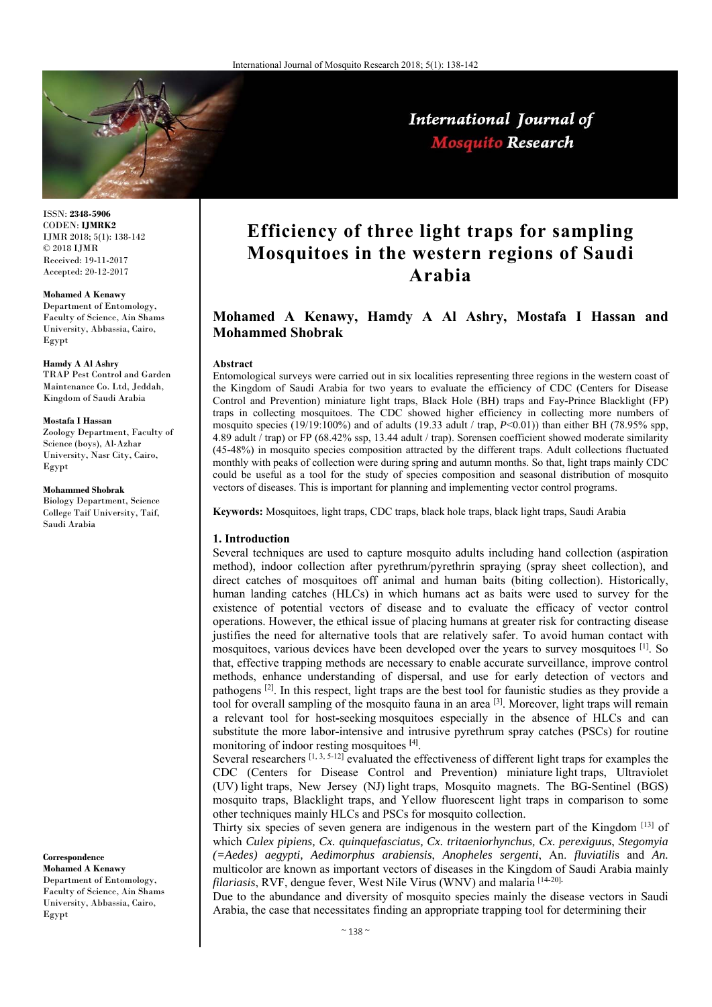

International Journal of **Mosquito Research** 

ISSN: **2348-5906** CODEN: **IJMRK2** IJMR 2018; 5(1): 138-142 © 2018 IJMR Received: 19-11-2017 Accepted: 20-12-2017

**Mohamed A Kenawy** 

Department of Entomology, Faculty of Science, Ain Shams University, Abbassia, Cairo, Egypt

#### **Hamdy A Al Ashry**

TRAP Pest Control and Garden Maintenance Co. Ltd, Jeddah, Kingdom of Saudi Arabia

#### **Mostafa I Hassan**

Zoology Department, Faculty of Science (boys), Al-Azhar University, Nasr City, Cairo, Egypt

### **Mohammed Shobrak**

Biology Department, Science College Taif University, Taif, Saudi Arabia

**Correspondence**

**Mohamed A Kenawy**  Department of Entomology, Faculty of Science, Ain Shams University, Abbassia, Cairo, Egypt

# **Efficiency of three light traps for sampling Mosquitoes in the western regions of Saudi Arabia**

## **Mohamed A Kenawy, Hamdy A Al Ashry, Mostafa I Hassan and Mohammed Shobrak**

### **Abstract**

Entomological surveys were carried out in six localities representing three regions in the western coast of the Kingdom of Saudi Arabia for two years to evaluate the efficiency of CDC (Centers for Disease Control and Prevention) miniature light traps, Black Hole (BH) traps and Fay**-**Prince Blacklight (FP) traps in collecting mosquitoes. The CDC showed higher efficiency in collecting more numbers of mosquito species (19/19:100%) and of adults (19.33 adult / trap, *P*˂0.01)) than either BH (78.95% spp, 4.89 adult / trap) or FP (68.42% ssp, 13.44 adult / trap). Sorensen coefficient showed moderate similarity (45**-**48%) in mosquito species composition attracted by the different traps. Adult collections fluctuated monthly with peaks of collection were during spring and autumn months. So that, light traps mainly CDC could be useful as a tool for the study of species composition and seasonal distribution of mosquito vectors of diseases. This is important for planning and implementing vector control programs.

**Keywords:** Mosquitoes, light traps, CDC traps, black hole traps, black light traps, Saudi Arabia

#### **1. Introduction**

Several techniques are used to capture mosquito adults including hand collection (aspiration method), indoor collection after pyrethrum/pyrethrin spraying (spray sheet collection), and direct catches of mosquitoes off animal and human baits (biting collection). Historically, human landing catches (HLCs) in which humans act as baits were used to survey for the existence of potential vectors of disease and to evaluate the efficacy of vector control operations. However, the ethical issue of placing humans at greater risk for contracting disease justifies the need for alternative tools that are relatively safer. To avoid human contact with mosquitoes, various devices have been developed over the years to survey mosquitoes [1]. So that, effective trapping methods are necessary to enable accurate surveillance, improve control methods, enhance understanding of dispersal, and use for early detection of vectors and pathogens [2]. In this respect, light traps are the best tool for faunistic studies as they provide a tool for overall sampling of the mosquito fauna in an area [3]. Moreover, light traps will remain a relevant tool for host**-**seeking mosquitoes especially in the absence of HLCs and can substitute the more labor**-**intensive and intrusive pyrethrum spray catches (PSCs) for routine monitoring of indoor resting mosquitoes **[**4**]** .

Several researchers  $[1, 3, 5-12]$  evaluated the effectiveness of different light traps for examples the CDC (Centers for Disease Control and Prevention) miniature light traps, Ultraviolet (UV) light traps, New Jersey (NJ) light traps, Mosquito magnets. The BG**-**Sentinel (BGS) mosquito traps, Blacklight traps, and Yellow fluorescent light traps in comparison to some other techniques mainly HLCs and PSCs for mosquito collection.

Thirty six species of seven genera are indigenous in the western part of the Kingdom [13] of which *Culex pipiens, Cx. quinquefasciatus, Cx. tritaeniorhynchus, Cx. perexiguus*, *Stegomyia (=Aedes) aegypti, Aedimorphus arabiensis*, *Anopheles sergenti*, An. *fluviatili*s and *An.* multicolor are known as important vectors of diseases in the Kingdom of Saudi Arabia mainly *filariasis*, RVF, dengue fever, West Nile Virus (WNV) and malaria [14-20]**.**

Due to the abundance and diversity of mosquito species mainly the disease vectors in Saudi Arabia, the case that necessitates finding an appropriate trapping tool for determining their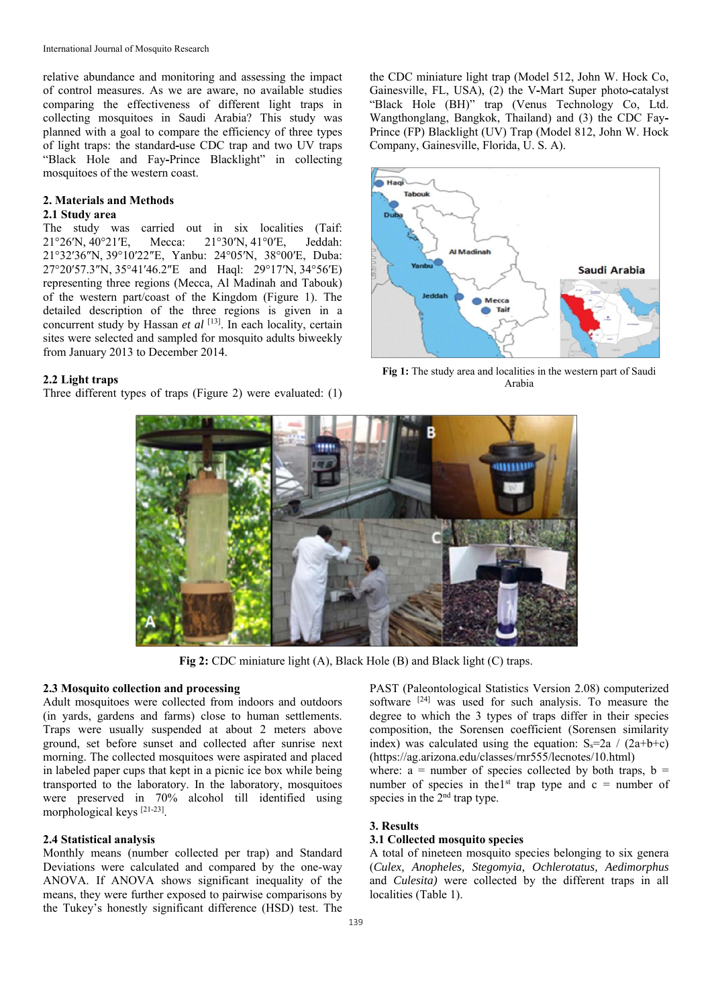relative abundance and monitoring and assessing the impact of control measures. As we are aware, no available studies comparing the effectiveness of different light traps in collecting mosquitoes in Saudi Arabia? This study was planned with a goal to compare the efficiency of three types of light traps: the standard**-**use CDC trap and two UV traps "Black Hole and Fay**-**Prince Blacklight" in collecting mosquitoes of the western coast.

### **2. Materials and Methods**

### **2.1 Study area**

The study was carried out in six localities (Taif: 21°26′N, 40°21′E, Mecca: 21°30′N, 41°0′E, Jeddah: 21°32′36″N, 39°10′22″E, Yanbu: 24°05′N, 38°00′E, Duba: 27°20′57.3″N, 35°41′46.2″E and Haql: 29°17′N, 34°56′E) representing three regions (Mecca, Al Madinah and Tabouk) of the western part/coast of the Kingdom (Figure 1). The detailed description of the three regions is given in a concurrent study by Hassan *et al* <sup>[13]</sup>. In each locality, certain sites were selected and sampled for mosquito adults biweekly from January 2013 to December 2014.

#### **2.2 Light traps**

Three different types of traps (Figure 2) were evaluated: (1)

the CDC miniature light trap (Model 512, John W. Hock Co, Gainesville, FL, USA), (2) the V**-**Mart Super photo**-**catalyst "Black Hole (BH)" trap (Venus Technology Co, Ltd. Wangthonglang, Bangkok, Thailand) and (3) the CDC Fay**-**Prince (FP) Blacklight (UV) Trap (Model 812, John W. Hock Company, Gainesville, Florida, U. S. A).



**Fig 1:** The study area and localities in the western part of Saudi Arabia



**Fig 2:** CDC miniature light (A), Black Hole (B) and Black light (C) traps.

### **2.3 Mosquito collection and processing**

Adult mosquitoes were collected from indoors and outdoors (in yards, gardens and farms) close to human settlements. Traps were usually suspended at about 2 meters above ground, set before sunset and collected after sunrise next morning. The collected mosquitoes were aspirated and placed in labeled paper cups that kept in a picnic ice box while being transported to the laboratory. In the laboratory, mosquitoes were preserved in 70% alcohol till identified using morphological keys [21-23].

### **2.4 Statistical analysis**

Monthly means (number collected per trap) and Standard Deviations were calculated and compared by the one-way ANOVA. If ANOVA shows significant inequality of the means, they were further exposed to pairwise comparisons by the Tukey's honestly significant difference (HSD) test. The PAST (Paleontological Statistics Version 2.08) computerized software  $[24]$  was used for such analysis. To measure the degree to which the 3 types of traps differ in their species composition, the Sorensen coefficient (Sorensen similarity index) was calculated using the equation:  $S_s=2a / (2a+b+c)$ (https://ag.arizona.edu/classes/rnr555/lecnotes/10.html)

where:  $a =$  number of species collected by both traps,  $b =$ number of species in the<sup>1st</sup> trap type and  $c =$  number of species in the 2<sup>nd</sup> trap type.

### **3. Results**

### **3.1 Collected mosquito species**

A total of nineteen mosquito species belonging to six genera (*Culex, Anopheles, Stegomyia, Ochlerotatus, Aedimorphus*  and *Culesita)* were collected by the different traps in all localities (Table 1).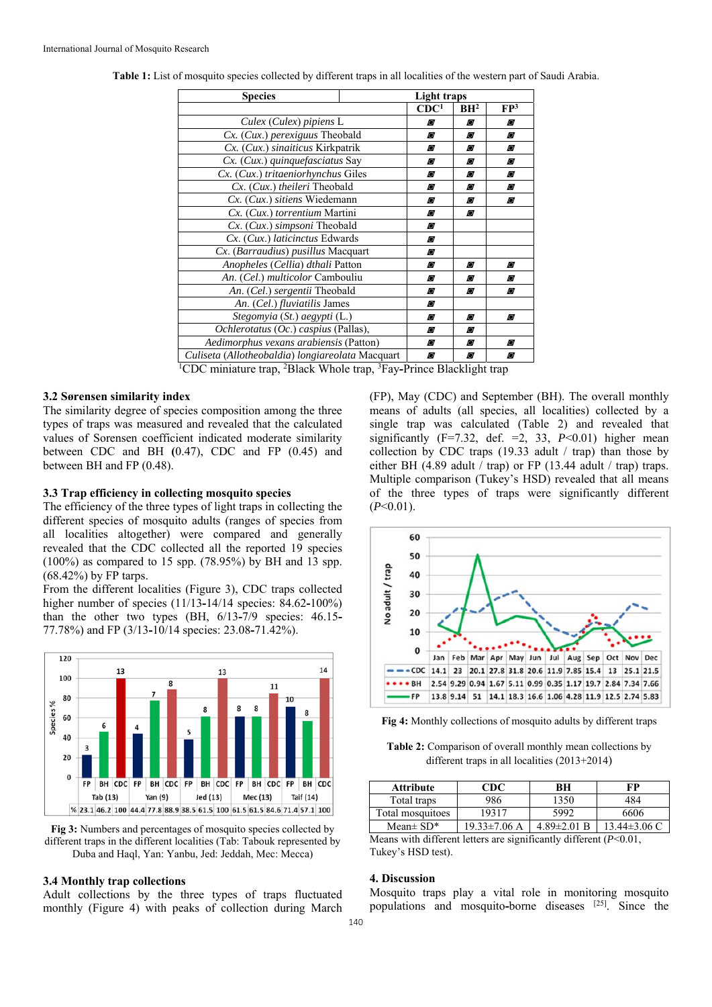| <b>Species</b>                                   | Light traps |                  |                 |                 |
|--------------------------------------------------|-------------|------------------|-----------------|-----------------|
|                                                  |             | CDC <sup>1</sup> | BH <sup>2</sup> | FP <sup>3</sup> |
| Culex (Culex) pipiens L                          |             | Ø                | Ø               | Ø               |
| Cx. (Cux.) perexiguus Theobald                   |             | Ø                | Ø               | Ø               |
| Cx. (Cux.) sinaiticus Kirkpatrik                 |             | Ø                | Ø               | Ø               |
| Cx. (Cux.) quinquefasciatus Say                  |             | Ø                | Ø               | Ø               |
| Cx. (Cux.) tritaeniorhynchus Giles               |             | Ø                | Ø               | Ø               |
| Cx. (Cux.) theileri Theobald                     |             | Ø                | Ø               | Ø               |
| Cx. (Cux.) sitiens Wiedemann                     |             | Ø                | Ø               | Ø               |
| Cx. (Cux.) torrentium Martini                    |             | Ø                | O               |                 |
| Cx. (Cux.) simpsoni Theobald                     |             | Ø                |                 |                 |
| Cx. (Cux.) laticinctus Edwards                   |             | Ø                |                 |                 |
| Cx. (Barraudius) pusillus Macquart               |             | Ø                |                 |                 |
| Anopheles (Cellia) dthali Patton                 |             | Ø                | Ø               | Ø               |
| An. (Cel.) multicolor Cambouliu                  |             | Ø                | Ø               | Ø               |
| An. (Cel.) sergentii Theobald                    |             | Ø                | Ø               | Ø               |
| An. (Cel.) fluviatilis James                     |             | O                |                 |                 |
| Stegomyia (St.) aegypti (L.)                     |             | Ø                | Ø               | Ø               |
| Ochlerotatus (Oc.) caspius (Pallas),             |             | Ø                | Ø               |                 |
| Aedimorphus vexans arabiensis (Patton)           |             | Ø                | Ø               | Ø               |
| Culiseta (Allotheobaldia) longiareolata Macquart |             | O                | Ø               | Ø               |

**Table 1:** List of mosquito species collected by different traps in all localities of the western part of Saudi Arabia.

<sup>1</sup>CDC miniature trap, <sup>2</sup>Black Whole trap, <sup>3</sup>Fay-Prince Blacklight trap

### **3.2 Sørensen similarity index**

The similarity degree of species composition among the three types of traps was measured and revealed that the calculated values of Sorensen coefficient indicated moderate similarity between CDC and BH **(**0.47), CDC and FP (0.45) and between BH and FP (0.48).

### **3.3 Trap efficiency in collecting mosquito species**

The efficiency of the three types of light traps in collecting the different species of mosquito adults (ranges of species from all localities altogether) were compared and generally revealed that the CDC collected all the reported 19 species (100%) as compared to 15 spp. (78.95%) by BH and 13 spp. (68.42%) by FP tarps.

From the different localities (Figure 3), CDC traps collected higher number of species (11/13**-**14/14 species: 84.62**-**100%) than the other two types (BH, 6/13**-**7/9 species: 46.15**-** 77.78%) and FP (3/13**-**10/14 species: 23.08**-**71.42%).



**Fig 3:** Numbers and percentages of mosquito species collected by different traps in the different localities (Tab: Tabouk represented by Duba and Haql, Yan: Yanbu, Jed: Jeddah, Mec: Mecca)

#### **3.4 Monthly trap collections**

Adult collections by the three types of traps fluctuated monthly (Figure 4) with peaks of collection during March

(FP), May (CDC) and September (BH). The overall monthly means of adults (all species, all localities) collected by a single trap was calculated (Table 2) and revealed that significantly  $(F=7.32, def. =2, 33, P<0.01)$  higher mean collection by CDC traps  $(19.33 \text{ adult} / \text{trap})$  than those by either BH  $(4.89$  adult / trap) or FP  $(13.44$  adult / trap) traps. Multiple comparison (Tukey's HSD) revealed that all means of the three types of traps were significantly different (*P*˂0.01).



**Fig 4:** Monthly collections of mosquito adults by different traps

**Table 2:** Comparison of overall monthly mean collections by different traps in all localities (2013+2014)

| Attribute        | CDC          | BН                | FP               |
|------------------|--------------|-------------------|------------------|
| Total traps      | 986          | 1350              | 484              |
| Total mosquitoes | 19317        | 5992              | 6606             |
| Mean $\pm$ SD*   | 19.33±7.06 A | $4.89 \pm 2.01$ B | $13.44\pm3.06$ C |

Means with different letters are significantly different (*P*˂0.01, Tukey's HSD test).

#### **4. Discussion**

Mosquito traps play a vital role in monitoring mosquito populations and mosquito**-**borne diseases [25]. Since the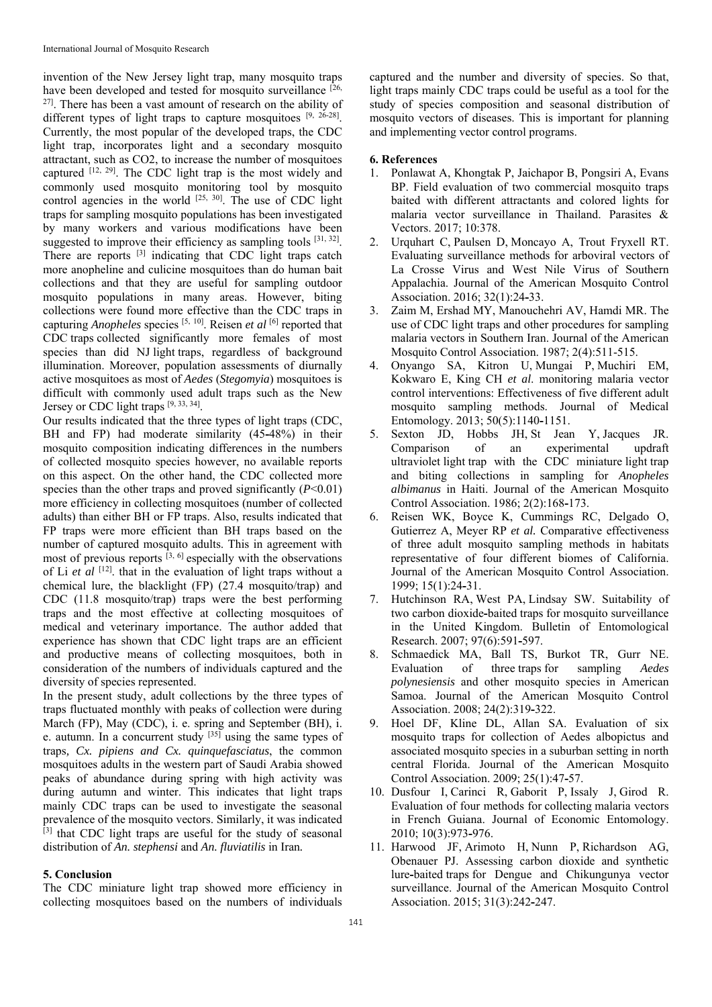invention of the New Jersey light trap, many mosquito traps have been developed and tested for mosquito surveillance [26, 27]. There has been a vast amount of research on the ability of different types of light traps to capture mosquitoes  $[9, 26-28]$ . Currently, the most popular of the developed traps, the CDC light trap, incorporates light and a secondary mosquito attractant, such as CO2, to increase the number of mosquitoes captured [12, 29]. The CDC light trap is the most widely and commonly used mosquito monitoring tool by mosquito control agencies in the world  $[25, 30]$ . The use of CDC light traps for sampling mosquito populations has been investigated by many workers and various modifications have been suggested to improve their efficiency as sampling tools  $[31, 32]$ . There are reports <sup>[3]</sup> indicating that CDC light traps catch more anopheline and culicine mosquitoes than do human bait collections and that they are useful for sampling outdoor mosquito populations in many areas. However, biting collections were found more effective than the CDC traps in capturing *Anopheles* species [5, 10]. Reisen *et al* [6] reported that CDC traps collected significantly more females of most species than did NJ light traps, regardless of background illumination. Moreover, population assessments of diurnally active mosquitoes as most of *Aedes* (*Stegomyia*) mosquitoes is difficult with commonly used adult traps such as the New Jersey or CDC light traps [9, 33, 34].

Our results indicated that the three types of light traps (CDC, BH and FP) had moderate similarity (45**-**48%) in their mosquito composition indicating differences in the numbers of collected mosquito species however, no available reports on this aspect. On the other hand, the CDC collected more species than the other traps and proved significantly (*P*˂0.01) more efficiency in collecting mosquitoes (number of collected adults) than either BH or FP traps. Also, results indicated that FP traps were more efficient than BH traps based on the number of captured mosquito adults. This in agreement with most of previous reports  $^{[3, 6]}$  especially with the observations of Li et al <sup>[12]</sup>. that in the evaluation of light traps without a chemical lure, the blacklight (FP) (27.4 mosquito/trap) and CDC (11.8 mosquito/trap) traps were the best performing traps and the most effective at collecting mosquitoes of medical and veterinary importance. The author added that experience has shown that CDC light traps are an efficient and productive means of collecting mosquitoes, both in consideration of the numbers of individuals captured and the diversity of species represented.

In the present study, adult collections by the three types of traps fluctuated monthly with peaks of collection were during March (FP), May (CDC), i. e. spring and September (BH), i. e. autumn. In a concurrent study  $[35]$  using the same types of traps*, Cx. pipiens and Cx. quinquefasciatus*, the common mosquitoes adults in the western part of Saudi Arabia showed peaks of abundance during spring with high activity was during autumn and winter. This indicates that light traps mainly CDC traps can be used to investigate the seasonal prevalence of the mosquito vectors. Similarly, it was indicated [3] that CDC light traps are useful for the study of seasonal distribution of *An. stephensi* and *An. fluviatilis* in Iran*.*

### **5. Conclusion**

The CDC miniature light trap showed more efficiency in collecting mosquitoes based on the numbers of individuals captured and the number and diversity of species. So that, light traps mainly CDC traps could be useful as a tool for the study of species composition and seasonal distribution of mosquito vectors of diseases. This is important for planning and implementing vector control programs.

### **6. References**

- 1. Ponlawat A, Khongtak P, Jaichapor B, Pongsiri A, Evans BP. Field evaluation of two commercial mosquito traps baited with different attractants and colored lights for malaria vector surveillance in Thailand. Parasites & Vectors. 2017; 10:378.
- 2. Urquhart C, Paulsen D, Moncayo A, Trout Fryxell RT. Evaluating surveillance methods for arboviral vectors of La Crosse Virus and West Nile Virus of Southern Appalachia. Journal of the American Mosquito Control Association. 2016; 32(1):24**-**33.
- 3. Zaim M, Ershad MY, Manouchehri AV, Hamdi MR. The use of CDC light traps and other procedures for sampling malaria vectors in Southern Iran. Journal of the American Mosquito Control Association. 1987; 2(4):511-515.
- 4. Onyango SA, Kitron U, Mungai P, Muchiri EM, Kokwaro E, King CH *et al*. monitoring malaria vector control interventions: Effectiveness of five different adult mosquito sampling methods. Journal of Medical Entomology. 2013; 50(5):1140**-**1151.
- 5. Sexton JD, Hobbs JH, St Jean Y, Jacques JR. Comparison of an experimental updraft ultraviolet light trap with the CDC miniature light trap and biting collections in sampling for *Anopheles albimanus* in Haiti. Journal of the American Mosquito Control Association. 1986; 2(2):168**-**173.
- 6. Reisen WK, Boyce K, Cummings RC, Delgado O, Gutierrez A, Meyer RP *et al.* Comparative effectiveness of three adult mosquito sampling methods in habitats representative of four different biomes of California. Journal of the American Mosquito Control Association. 1999; 15(1):24**-**31.
- 7. Hutchinson RA, West PA, Lindsay SW. Suitability of two carbon dioxide**-**baited traps for mosquito surveillance in the United Kingdom. Bulletin of Entomological Research. 2007; 97(6):591**-**597.
- 8. Schmaedick MA, Ball TS, Burkot TR, Gurr NE. Evaluation of three traps for sampling *Aedes polynesiensis* and other mosquito species in American Samoa. Journal of the American Mosquito Control Association. 2008; 24(2):319**-**322.
- 9. Hoel DF, Kline DL, Allan SA. Evaluation of six mosquito traps for collection of Aedes albopictus and associated mosquito species in a suburban setting in north central Florida. Journal of the American Mosquito Control Association. 2009; 25(1):47**-**57.
- 10. Dusfour I, Carinci R, Gaborit P, Issaly J, Girod R. Evaluation of four methods for collecting malaria vectors in French Guiana. Journal of Economic Entomology. 2010; 10(3):973**-**976.
- 11. Harwood JF, Arimoto H, Nunn P, Richardson AG, Obenauer PJ. Assessing carbon dioxide and synthetic lure**-**baited traps for Dengue and Chikungunya vector surveillance. Journal of the American Mosquito Control Association. 2015; 31(3):242**-**247.